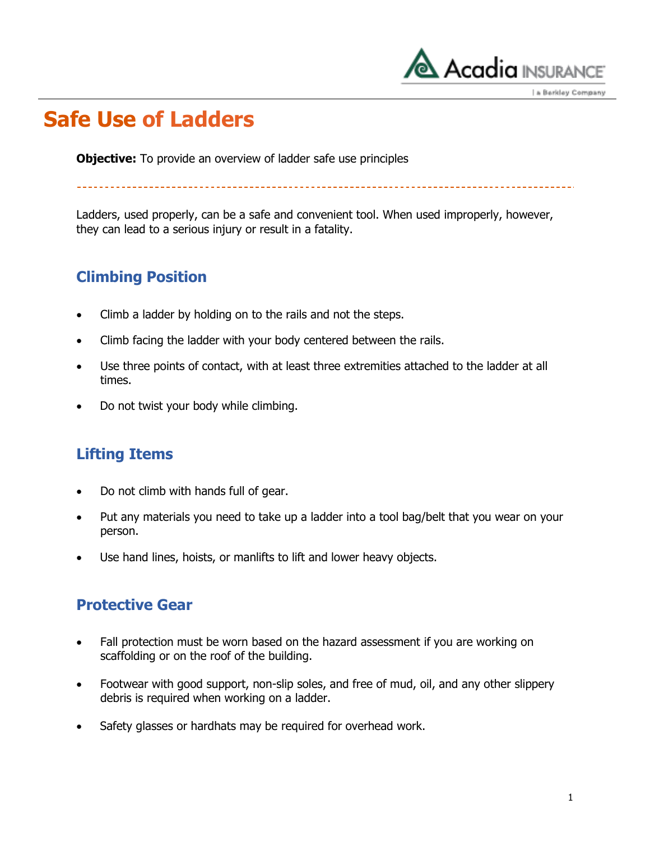

\_\_\_\_\_\_\_\_\_\_\_\_\_\_\_\_\_\_\_\_\_\_\_\_\_\_\_\_\_

a Berkley Company

### **Safe Use of Ladders**

**Objective:** To provide an overview of ladder safe use principles

Ladders, used properly, can be a safe and convenient tool. When used improperly, however, they can lead to a serious injury or result in a fatality.

### **Climbing Position**

- Climb a ladder by holding on to the rails and not the steps.
- Climb facing the ladder with your body centered between the rails.
- Use three points of contact, with at least three extremities attached to the ladder at all times.
- Do not twist your body while climbing.

#### **Lifting Items**

- Do not climb with hands full of gear.
- Put any materials you need to take up a ladder into a tool bag/belt that you wear on your person.
- Use hand lines, hoists, or manlifts to lift and lower heavy objects.

#### **Protective Gear**

- Fall protection must be worn based on the hazard assessment if you are working on scaffolding or on the roof of the building.
- Footwear with good support, non-slip soles, and free of mud, oil, and any other slippery debris is required when working on a ladder.
- Safety glasses or hardhats may be required for overhead work.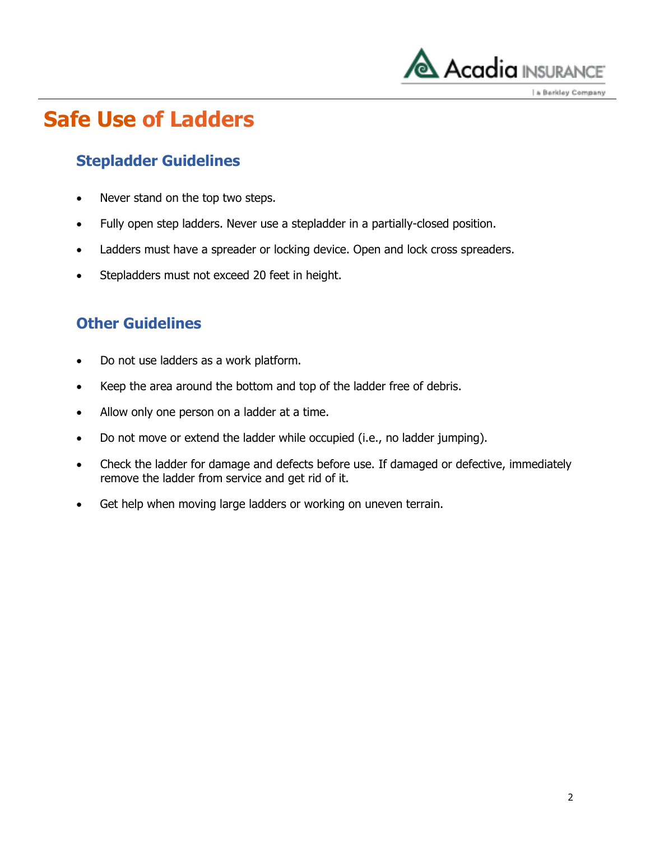

a Berkley Company

## **Safe Use of Ladders**

### **Stepladder Guidelines**

- Never stand on the top two steps.
- Fully open step ladders. Never use a stepladder in a partially-closed position.
- Ladders must have a spreader or locking device. Open and lock cross spreaders.
- Stepladders must not exceed 20 feet in height.

### **Other Guidelines**

- Do not use ladders as a work platform.
- Keep the area around the bottom and top of the ladder free of debris.
- Allow only one person on a ladder at a time.
- Do not move or extend the ladder while occupied (i.e., no ladder jumping).
- Check the ladder for damage and defects before use. If damaged or defective, immediately remove the ladder from service and get rid of it.
- Get help when moving large ladders or working on uneven terrain.